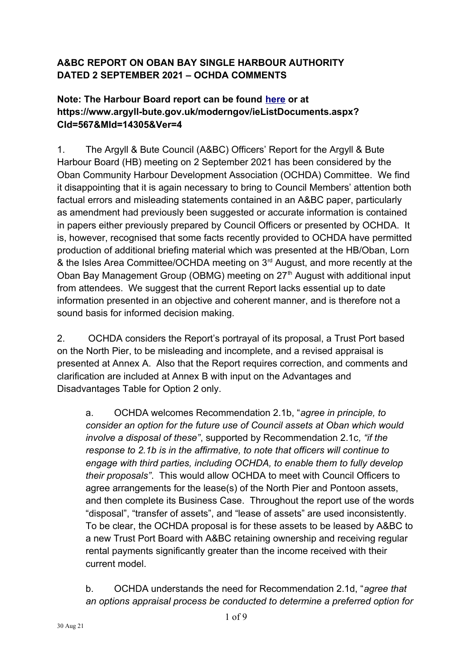## **A&BC REPORT ON OBAN BAY SINGLE HARBOUR AUTHORITY DATED 2 SEPTEMBER 2021 – OCHDA COMMENTS**

## **Note: The Harbour Board report can be found [here](https://www.argyll-bute.gov.uk/moderngov/documents/g14301/Public%20reports%20pack%20Thursday%2002-Sep-2021%2012.30%20Argyll%20and%20Bute%20Harbour%20Board.pdf?T=10) or at https://www.argyll-bute.gov.uk/moderngov/ieListDocuments.aspx? CId=567&MId=14305&Ver=4**

1. The Argyll & Bute Council (A&BC) Officers' Report for the Argyll & Bute Harbour Board (HB) meeting on 2 September 2021 has been considered by the Oban Community Harbour Development Association (OCHDA) Committee. We find it disappointing that it is again necessary to bring to Council Members' attention both factual errors and misleading statements contained in an A&BC paper, particularly as amendment had previously been suggested or accurate information is contained in papers either previously prepared by Council Officers or presented by OCHDA. It is, however, recognised that some facts recently provided to OCHDA have permitted production of additional briefing material which was presented at the HB/Oban, Lorn & the Isles Area Committee/OCHDA meeting on 3<sup>rd</sup> August, and more recently at the Oban Bay Management Group (OBMG) meeting on 27<sup>th</sup> August with additional input from attendees. We suggest that the current Report lacks essential up to date information presented in an objective and coherent manner, and is therefore not a sound basis for informed decision making.

2. OCHDA considers the Report's portrayal of its proposal, a Trust Port based on the North Pier, to be misleading and incomplete, and a revised appraisal is presented at Annex A. Also that the Report requires correction, and comments and clarification are included at Annex B with input on the Advantages and Disadvantages Table for Option 2 only.

a. OCHDA welcomes Recommendation 2.1b, "*agree in principle, to consider an option for the future use of Council assets at Oban which would involve a disposal of these"*, supported by Recommendation 2.1c*, "if the response to 2.1b is in the affirmative, to note that officers will continue to engage with third parties, including OCHDA, to enable them to fully develop their proposals"*. This would allow OCHDA to meet with Council Officers to agree arrangements for the lease(s) of the North Pier and Pontoon assets, and then complete its Business Case. Throughout the report use of the words "disposal", "transfer of assets", and "lease of assets" are used inconsistently. To be clear, the OCHDA proposal is for these assets to be leased by A&BC to a new Trust Port Board with A&BC retaining ownership and receiving regular rental payments significantly greater than the income received with their current model.

b. OCHDA understands the need for Recommendation 2.1d, "*agree that an options appraisal process be conducted to determine a preferred option for*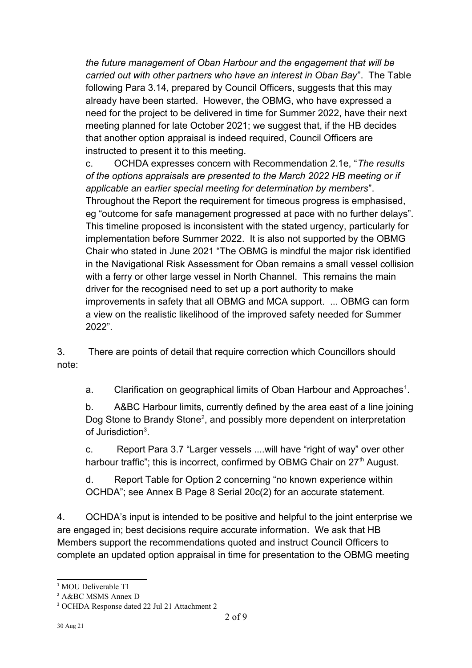*the future management of Oban Harbour and the engagement that will be carried out with other partners who have an interest in Oban Bay*". The Table following Para 3.14, prepared by Council Officers, suggests that this may already have been started. However, the OBMG, who have expressed a need for the project to be delivered in time for Summer 2022, have their next meeting planned for late October 2021; we suggest that, if the HB decides that another option appraisal is indeed required, Council Officers are instructed to present it to this meeting.

c. OCHDA expresses concern with Recommendation 2.1e, "*The results of the options appraisals are presented to the March 2022 HB meeting or if applicable an earlier special meeting for determination by members*". Throughout the Report the requirement for timeous progress is emphasised, eg "outcome for safe management progressed at pace with no further delays". This timeline proposed is inconsistent with the stated urgency, particularly for implementation before Summer 2022. It is also not supported by the OBMG Chair who stated in June 2021 "The OBMG is mindful the major risk identified in the Navigational Risk Assessment for Oban remains a small vessel collision with a ferry or other large vessel in North Channel. This remains the main driver for the recognised need to set up a port authority to make improvements in safety that all OBMG and MCA support. ... OBMG can form a view on the realistic likelihood of the improved safety needed for Summer 2022".

3. There are points of detail that require correction which Councillors should note:

a. Clarification on geographical limits of Oban Harbour and Approaches<sup>[1](#page-1-0)</sup>.

b. A&BC Harbour limits, currently defined by the area east of a line joining Dog Stone to Brandy Stone<sup>[2](#page-1-1)</sup>, and possibly more dependent on interpretation of Jurisdiction<sup>[3](#page-1-2)</sup>.

c. Report Para 3.7 "Larger vessels ....will have "right of way" over other harbour traffic"; this is incorrect, confirmed by OBMG Chair on 27<sup>th</sup> August.

d. Report Table for Option 2 concerning "no known experience within OCHDA"; see Annex B Page 8 Serial 20c(2) for an accurate statement.

4. OCHDA's input is intended to be positive and helpful to the joint enterprise we are engaged in; best decisions require accurate information. We ask that HB Members support the recommendations quoted and instruct Council Officers to complete an updated option appraisal in time for presentation to the OBMG meeting

<span id="page-1-0"></span><sup>&</sup>lt;sup>1</sup> MOU Deliverable T1

<span id="page-1-1"></span><sup>2</sup> A&BC MSMS Annex D

<span id="page-1-2"></span><sup>3</sup> OCHDA Response dated 22 Jul 21 Attachment 2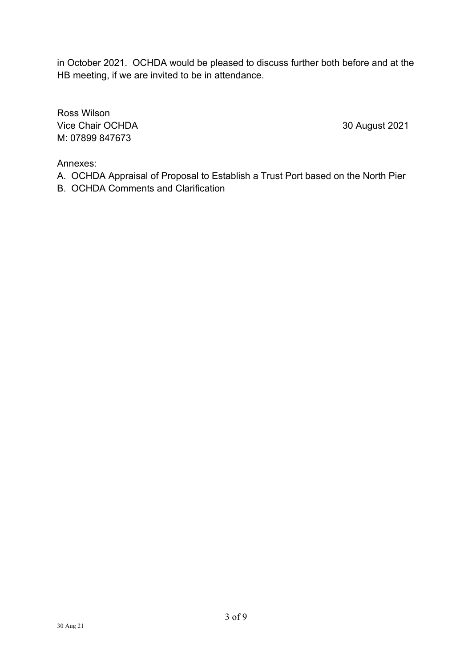in October 2021. OCHDA would be pleased to discuss further both before and at the HB meeting, if we are invited to be in attendance.

Ross Wilson Vice Chair OCHDA 30 August 2021 M: 07899 847673

Annexes:

- A. OCHDA Appraisal of Proposal to Establish a Trust Port based on the North Pier
- B. OCHDA Comments and Clarification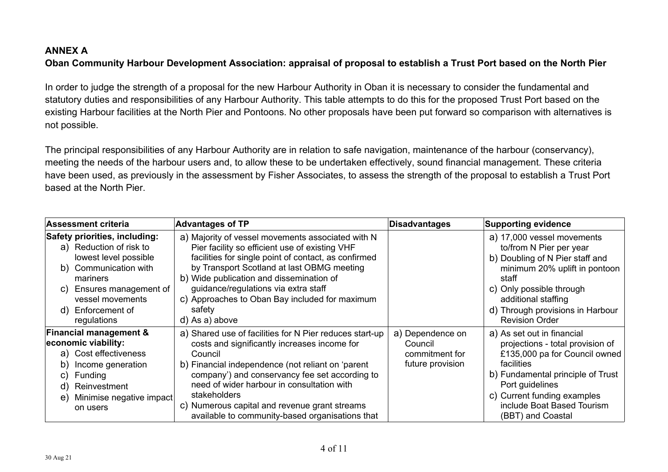# **ANNEX A Oban Community Harbour Development Association: appraisal of proposal to establish a Trust Port based on the North Pier**

In order to judge the strength of a proposal for the new Harbour Authority in Oban it is necessary to consider the fundamental and statutory duties and responsibilities of any Harbour Authority. This table attempts to do this for the proposed Trust Port based on the existing Harbour facilities at the North Pier and Pontoons. No other proposals have been put forward so comparison with alternatives is not possible.

The principal responsibilities of any Harbour Authority are in relation to safe navigation, maintenance of the harbour (conservancy), meeting the needs of the harbour users and, to allow these to be undertaken effectively, sound financial management. These criteria have been used, as previously in the assessment by Fisher Associates, to assess the strength of the proposal to establish a Trust Port based at the North Pier.

| <b>Assessment criteria</b>                                                                                                                                                                                           | <b>Advantages of TP</b>                                                                                                                                                                                                                                                                                                                                                                     | <b>Disadvantages</b>                                              | <b>Supporting evidence</b>                                                                                                                                                                                                                              |
|----------------------------------------------------------------------------------------------------------------------------------------------------------------------------------------------------------------------|---------------------------------------------------------------------------------------------------------------------------------------------------------------------------------------------------------------------------------------------------------------------------------------------------------------------------------------------------------------------------------------------|-------------------------------------------------------------------|---------------------------------------------------------------------------------------------------------------------------------------------------------------------------------------------------------------------------------------------------------|
| <b>Safety priorities, including:</b><br>a) Reduction of risk to<br>lowest level possible<br>b) Communication with<br>mariners<br>Ensures management of<br>C)<br>vessel movements<br>d) Enforcement of<br>regulations | a) Majority of vessel movements associated with N<br>Pier facility so efficient use of existing VHF<br>facilities for single point of contact, as confirmed<br>by Transport Scotland at last OBMG meeting<br>b) Wide publication and dissemination of<br>guidance/regulations via extra staff<br>c) Approaches to Oban Bay included for maximum<br>safety<br>d) As a) above                 |                                                                   | a) 17,000 vessel movements<br>to/from N Pier per year<br>b) Doubling of N Pier staff and<br>minimum 20% uplift in pontoon<br>staff<br>c) Only possible through<br>additional staffing<br>d) Through provisions in Harbour<br><b>Revision Order</b>      |
| <b>Financial management &amp;</b><br>economic viability:<br>a) Cost effectiveness<br>Income generation<br>b)<br>Funding<br>C)<br>Reinvestment<br>d)<br>Minimise negative impact<br>e)<br>on users                    | a) Shared use of facilities for N Pier reduces start-up<br>costs and significantly increases income for<br>Council<br>b) Financial independence (not reliant on 'parent<br>company') and conservancy fee set according to<br>need of wider harbour in consultation with<br>stakeholders<br>c) Numerous capital and revenue grant streams<br>available to community-based organisations that | a) Dependence on<br>Council<br>commitment for<br>future provision | a) As set out in financial<br>projections - total provision of<br>£135,000 pa for Council owned<br>facilities<br>b) Fundamental principle of Trust<br>Port guidelines<br>c) Current funding examples<br>include Boat Based Tourism<br>(BBT) and Coastal |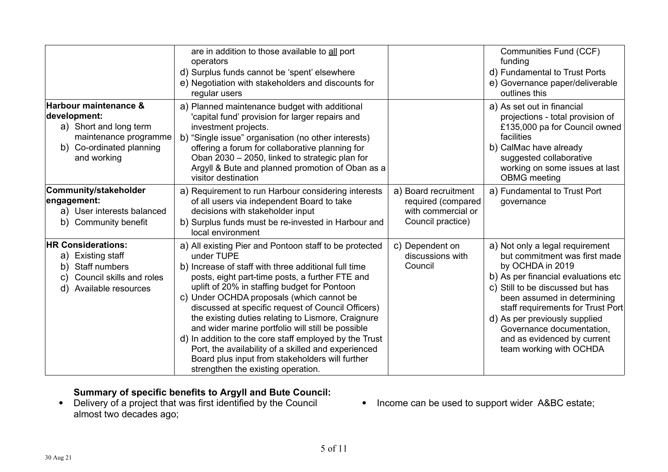|                                                                                                                                     | are in addition to those available to all port<br>operators<br>d) Surplus funds cannot be 'spent' elsewhere<br>e) Negotiation with stakeholders and discounts for<br>regular users                                                                                                                                                                                                                                                                                                                                                                                                                                                                      |                                                                                       | Communities Fund (CCF)<br>funding<br>d) Fundamental to Trust Ports<br>e) Governance paper/deliverable<br>outlines this                                                                                                                                                                                                                                      |
|-------------------------------------------------------------------------------------------------------------------------------------|---------------------------------------------------------------------------------------------------------------------------------------------------------------------------------------------------------------------------------------------------------------------------------------------------------------------------------------------------------------------------------------------------------------------------------------------------------------------------------------------------------------------------------------------------------------------------------------------------------------------------------------------------------|---------------------------------------------------------------------------------------|-------------------------------------------------------------------------------------------------------------------------------------------------------------------------------------------------------------------------------------------------------------------------------------------------------------------------------------------------------------|
| Harbour maintenance &<br>development:<br>a) Short and long term<br>maintenance programme<br>b) Co-ordinated planning<br>and working | a) Planned maintenance budget with additional<br>'capital fund' provision for larger repairs and<br>investment projects.<br>b) "Single issue" organisation (no other interests)<br>offering a forum for collaborative planning for<br>Oban 2030 - 2050, linked to strategic plan for<br>Argyll & Bute and planned promotion of Oban as a<br>visitor destination                                                                                                                                                                                                                                                                                         |                                                                                       | a) As set out in financial<br>projections - total provision of<br>£135,000 pa for Council owned<br>facilities<br>b) CalMac have already<br>suggested collaborative<br>working on some issues at last<br><b>OBMG</b> meeting                                                                                                                                 |
| Community/stakeholder<br>engagement:<br>a) User interests balanced<br>b) Community benefit                                          | a) Requirement to run Harbour considering interests<br>of all users via independent Board to take<br>decisions with stakeholder input<br>b) Surplus funds must be re-invested in Harbour and<br>local environment                                                                                                                                                                                                                                                                                                                                                                                                                                       | a) Board recruitment<br>required (compared<br>with commercial or<br>Council practice) | a) Fundamental to Trust Port<br>governance                                                                                                                                                                                                                                                                                                                  |
| <b>HR Considerations:</b><br>a) Existing staff<br>Staff numbers<br>b)<br>c) Council skills and roles<br>d) Available resources      | a) All existing Pier and Pontoon staff to be protected<br>under TUPE<br>b) Increase of staff with three additional full time<br>posts, eight part-time posts, a further FTE and<br>uplift of 20% in staffing budget for Pontoon<br>c) Under OCHDA proposals (which cannot be<br>discussed at specific request of Council Officers)<br>the existing duties relating to Lismore, Craignure<br>and wider marine portfolio will still be possible<br>d) In addition to the core staff employed by the Trust<br>Port, the availability of a skilled and experienced<br>Board plus input from stakeholders will further<br>strengthen the existing operation. | c) Dependent on<br>discussions with<br>Council                                        | a) Not only a legal requirement<br>but commitment was first made<br>by OCHDA in 2019<br>b) As per financial evaluations etc<br>c) Still to be discussed but has<br>been assumed in determining<br>staff requirements for Trust Port<br>d) As per previously supplied<br>Governance documentation,<br>and as evidenced by current<br>team working with OCHDA |

#### **Summary of specific benefits to Argyll and Bute Council:**

- Delivery of a project that was first identified by the Council almost two decades ago;
- Income can be used to support wider A&BC estate;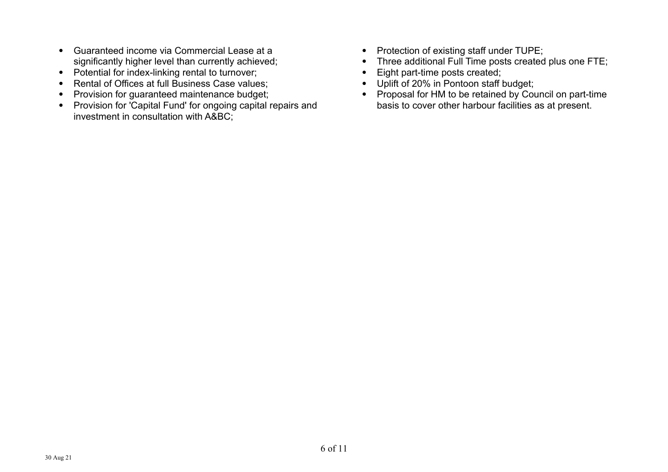- Guaranteed income via Commercial Lease at a significantly higher level than currently achieved;
- Potential for index-linking rental to turnover;
- Rental of Offices at full Business Case values;
- Provision for guaranteed maintenance budget;
- Provision for 'Capital Fund' for ongoing capital repairs and investment in consultation with A&BC;
- Protection of existing staff under TUPE;
- Three additional Full Time posts created plus one FTE;
- Eight part-time posts created;
- Uplift of 20% in Pontoon staff budget;
- Proposal for HM to be retained by Council on part-time basis to cover other harbour facilities as at present.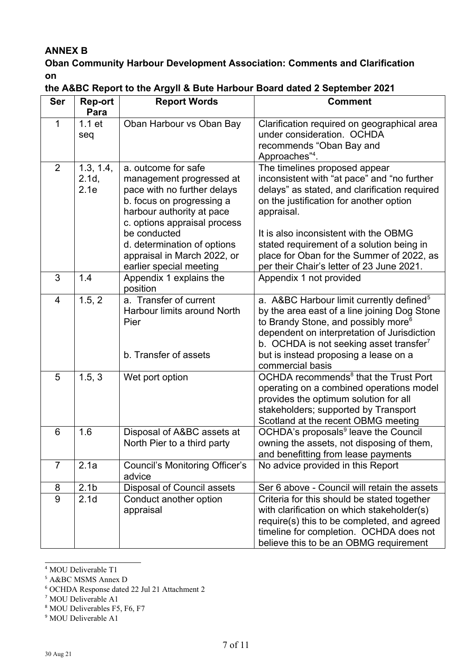### **ANNEX B**

## **Oban Community Harbour Development Association: Comments and Clarification on**

| <b>Ser</b>     | <b>Rep-ort</b><br>Para     | <b>Report Words</b>                                                                                                                                                                                                                                                               | <b>Comment</b>                                                                                                                                                                                                                                                                                                                                                         |
|----------------|----------------------------|-----------------------------------------------------------------------------------------------------------------------------------------------------------------------------------------------------------------------------------------------------------------------------------|------------------------------------------------------------------------------------------------------------------------------------------------------------------------------------------------------------------------------------------------------------------------------------------------------------------------------------------------------------------------|
| $\mathbf 1$    | 1.1 <sub>et</sub><br>seq   | Oban Harbour vs Oban Bay                                                                                                                                                                                                                                                          | Clarification required on geographical area<br>under consideration. OCHDA<br>recommends "Oban Bay and<br>Approaches" <sup>4</sup> .                                                                                                                                                                                                                                    |
| $\overline{2}$ | 1.3, 1.4,<br>2.1d,<br>2.1e | a. outcome for safe<br>management progressed at<br>pace with no further delays<br>b. focus on progressing a<br>harbour authority at pace<br>c. options appraisal process<br>be conducted<br>d. determination of options<br>appraisal in March 2022, or<br>earlier special meeting | The timelines proposed appear<br>inconsistent with "at pace" and "no further<br>delays" as stated, and clarification required<br>on the justification for another option<br>appraisal.<br>It is also inconsistent with the OBMG<br>stated requirement of a solution being in<br>place for Oban for the Summer of 2022, as<br>per their Chair's letter of 23 June 2021. |
| 3              | 1.4                        | Appendix 1 explains the<br>position                                                                                                                                                                                                                                               | Appendix 1 not provided                                                                                                                                                                                                                                                                                                                                                |
| $\overline{4}$ | 1.5, 2                     | a. Transfer of current<br>Harbour limits around North<br>Pier<br>b. Transfer of assets                                                                                                                                                                                            | a. A&BC Harbour limit currently defined <sup>5</sup><br>by the area east of a line joining Dog Stone<br>to Brandy Stone, and possibly more <sup>6</sup><br>dependent on interpretation of Jurisdiction<br>b. OCHDA is not seeking asset transfer <sup>7</sup><br>but is instead proposing a lease on a<br>commercial basis                                             |
| 5              | 1.5, 3                     | Wet port option                                                                                                                                                                                                                                                                   | OCHDA recommends <sup>8</sup> that the Trust Port<br>operating on a combined operations model<br>provides the optimum solution for all<br>stakeholders; supported by Transport<br>Scotland at the recent OBMG meeting                                                                                                                                                  |
| 6              | 1.6                        | Disposal of A&BC assets at<br>North Pier to a third party                                                                                                                                                                                                                         | OCHDA's proposals <sup>9</sup> leave the Council<br>owning the assets, not disposing of them,<br>and benefitting from lease payments                                                                                                                                                                                                                                   |
| $\overline{7}$ | 2.1a                       | <b>Council's Monitoring Officer's</b><br>advice                                                                                                                                                                                                                                   | No advice provided in this Report                                                                                                                                                                                                                                                                                                                                      |
| 8              | 2.1 <sub>b</sub>           | <b>Disposal of Council assets</b>                                                                                                                                                                                                                                                 | Ser 6 above - Council will retain the assets                                                                                                                                                                                                                                                                                                                           |
| 9              | 2.1 <sub>d</sub>           | Conduct another option<br>appraisal                                                                                                                                                                                                                                               | Criteria for this should be stated together<br>with clarification on which stakeholder(s)<br>require(s) this to be completed, and agreed<br>timeline for completion. OCHDA does not<br>believe this to be an OBMG requirement                                                                                                                                          |

## **the A&BC Report to the Argyll & Bute Harbour Board dated 2 September 2021**

<span id="page-6-0"></span><sup>4</sup> MOU Deliverable T1

<span id="page-6-1"></span><sup>5</sup> A&BC MSMS Annex D

<span id="page-6-2"></span><sup>6</sup> OCHDA Response dated 22 Jul 21 Attachment 2

<span id="page-6-3"></span><sup>7</sup> MOU Deliverable A1

<span id="page-6-4"></span><sup>8</sup> MOU Deliverables F5, F6, F7

<span id="page-6-5"></span><sup>&</sup>lt;sup>9</sup> MOU Deliverable A1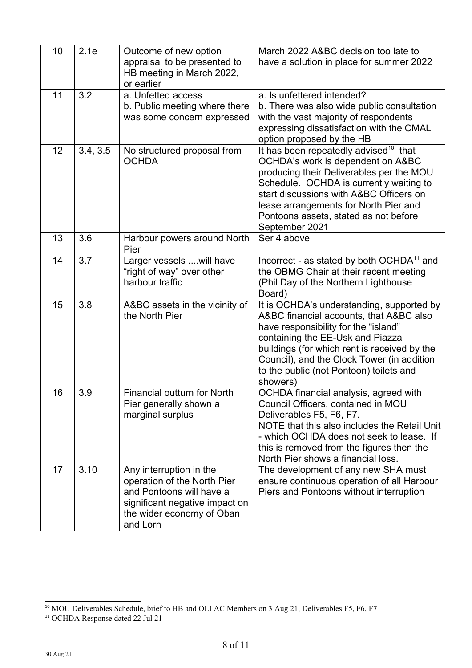| 10 | 2.1e     | Outcome of new option<br>appraisal to be presented to<br>HB meeting in March 2022,                                                                            | March 2022 A&BC decision too late to<br>have a solution in place for summer 2022                                                                                                                                                                                                                                             |
|----|----------|---------------------------------------------------------------------------------------------------------------------------------------------------------------|------------------------------------------------------------------------------------------------------------------------------------------------------------------------------------------------------------------------------------------------------------------------------------------------------------------------------|
| 11 | 3.2      | or earlier<br>a. Unfetted access<br>b. Public meeting where there<br>was some concern expressed                                                               | a. Is unfettered intended?<br>b. There was also wide public consultation<br>with the vast majority of respondents<br>expressing dissatisfaction with the CMAL<br>option proposed by the HB                                                                                                                                   |
| 12 | 3.4, 3.5 | No structured proposal from<br><b>OCHDA</b>                                                                                                                   | It has been repeatedly advised <sup>10</sup> that<br>OCHDA's work is dependent on A&BC<br>producing their Deliverables per the MOU<br>Schedule. OCHDA is currently waiting to<br>start discussions with A&BC Officers on<br>lease arrangements for North Pier and<br>Pontoons assets, stated as not before<br>September 2021 |
| 13 | 3.6      | Harbour powers around North<br>Pier                                                                                                                           | Ser 4 above                                                                                                                                                                                                                                                                                                                  |
| 14 | 3.7      | Larger vessels  will have<br>"right of way" over other<br>harbour traffic                                                                                     | Incorrect - as stated by both OCHDA <sup>11</sup> and<br>the OBMG Chair at their recent meeting<br>(Phil Day of the Northern Lighthouse<br>Board)                                                                                                                                                                            |
| 15 | 3.8      | A&BC assets in the vicinity of<br>the North Pier                                                                                                              | It is OCHDA's understanding, supported by<br>A&BC financial accounts, that A&BC also<br>have responsibility for the "island"<br>containing the EE-Usk and Piazza<br>buildings (for which rent is received by the<br>Council), and the Clock Tower (in addition<br>to the public (not Pontoon) toilets and<br>showers)        |
| 16 | 3.9      | Financial outturn for North<br>Pier generally shown a<br>marginal surplus                                                                                     | OCHDA financial analysis, agreed with<br>Council Officers, contained in MOU<br>Deliverables F5, F6, F7.<br>NOTE that this also includes the Retail Unit<br>- which OCHDA does not seek to lease. If<br>this is removed from the figures then the<br>North Pier shows a financial loss.                                       |
| 17 | 3.10     | Any interruption in the<br>operation of the North Pier<br>and Pontoons will have a<br>significant negative impact on<br>the wider economy of Oban<br>and Lorn | The development of any new SHA must<br>ensure continuous operation of all Harbour<br>Piers and Pontoons without interruption                                                                                                                                                                                                 |

<span id="page-7-0"></span><sup>&</sup>lt;sup>10</sup> MOU Deliverables Schedule, brief to HB and OLI AC Members on 3 Aug 21, Deliverables F5, F6, F7

<span id="page-7-1"></span><sup>&</sup>lt;sup>11</sup> OCHDA Response dated 22 Jul 21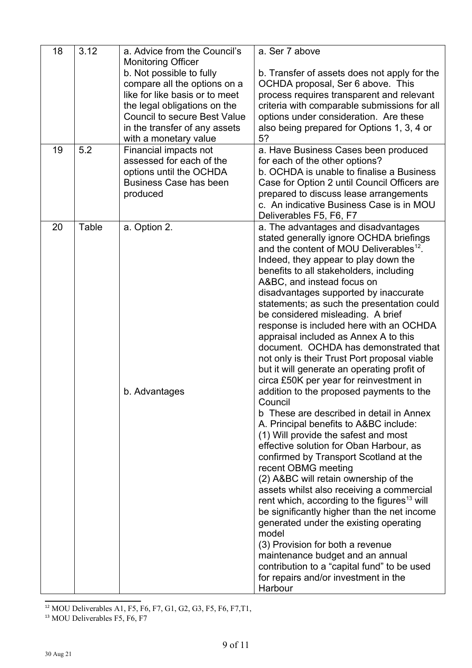| 18<br>19 | 3.12<br>5.2 | a. Advice from the Council's<br><b>Monitoring Officer</b><br>b. Not possible to fully<br>compare all the options on a<br>like for like basis or to meet<br>the legal obligations on the<br><b>Council to secure Best Value</b><br>in the transfer of any assets<br>with a monetary value<br>Financial impacts not<br>assessed for each of the<br>options until the OCHDA<br>Business Case has been<br>produced | a. Ser 7 above<br>b. Transfer of assets does not apply for the<br>OCHDA proposal, Ser 6 above. This<br>process requires transparent and relevant<br>criteria with comparable submissions for all<br>options under consideration. Are these<br>also being prepared for Options 1, 3, 4 or<br>5?<br>a. Have Business Cases been produced<br>for each of the other options?<br>b. OCHDA is unable to finalise a Business<br>Case for Option 2 until Council Officers are<br>prepared to discuss lease arrangements<br>c. An indicative Business Case is in MOU                                                                                                                                                                                                                                                                                                                                                                                                                                                                                                                                                                                                                                                                                                                                                                                                                                                        |
|----------|-------------|----------------------------------------------------------------------------------------------------------------------------------------------------------------------------------------------------------------------------------------------------------------------------------------------------------------------------------------------------------------------------------------------------------------|--------------------------------------------------------------------------------------------------------------------------------------------------------------------------------------------------------------------------------------------------------------------------------------------------------------------------------------------------------------------------------------------------------------------------------------------------------------------------------------------------------------------------------------------------------------------------------------------------------------------------------------------------------------------------------------------------------------------------------------------------------------------------------------------------------------------------------------------------------------------------------------------------------------------------------------------------------------------------------------------------------------------------------------------------------------------------------------------------------------------------------------------------------------------------------------------------------------------------------------------------------------------------------------------------------------------------------------------------------------------------------------------------------------------|
| 20       | Table       | a. Option 2.<br>b. Advantages                                                                                                                                                                                                                                                                                                                                                                                  | Deliverables F5, F6, F7<br>a. The advantages and disadvantages<br>stated generally ignore OCHDA briefings<br>and the content of MOU Deliverables <sup>12</sup> .<br>Indeed, they appear to play down the<br>benefits to all stakeholders, including<br>A&BC, and instead focus on<br>disadvantages supported by inaccurate<br>statements; as such the presentation could<br>be considered misleading. A brief<br>response is included here with an OCHDA<br>appraisal included as Annex A to this<br>document. OCHDA has demonstrated that<br>not only is their Trust Port proposal viable<br>but it will generate an operating profit of<br>circa £50K per year for reinvestment in<br>addition to the proposed payments to the<br>Council<br>b These are described in detail in Annex<br>A. Principal benefits to A&BC include:<br>(1) Will provide the safest and most<br>effective solution for Oban Harbour, as<br>confirmed by Transport Scotland at the<br>recent OBMG meeting<br>(2) A&BC will retain ownership of the<br>assets whilst also receiving a commercial<br>rent which, according to the figures <sup>13</sup> will<br>be significantly higher than the net income<br>generated under the existing operating<br>model<br>(3) Provision for both a revenue<br>maintenance budget and an annual<br>contribution to a "capital fund" to be used<br>for repairs and/or investment in the<br>Harbour |

<span id="page-8-0"></span><sup>12</sup> MOU Deliverables A1, F5, F6, F7, G1, G2, G3, F5, F6, F7, T1,

<span id="page-8-1"></span><sup>13</sup> MOU Deliverables F5, F6, F7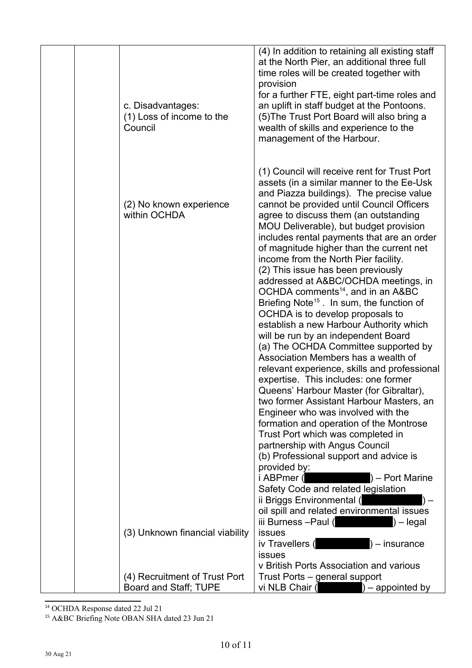| c. Disadvantages:<br>(1) Loss of income to the<br>Council        | (4) In addition to retaining all existing staff<br>at the North Pier, an additional three full<br>time roles will be created together with<br>provision<br>for a further FTE, eight part-time roles and<br>an uplift in staff budget at the Pontoons.<br>(5) The Trust Port Board will also bring a<br>wealth of skills and experience to the<br>management of the Harbour.                                                                                                                                                            |
|------------------------------------------------------------------|----------------------------------------------------------------------------------------------------------------------------------------------------------------------------------------------------------------------------------------------------------------------------------------------------------------------------------------------------------------------------------------------------------------------------------------------------------------------------------------------------------------------------------------|
| (2) No known experience<br>within OCHDA                          | (1) Council will receive rent for Trust Port<br>assets (in a similar manner to the Ee-Usk<br>and Piazza buildings). The precise value<br>cannot be provided until Council Officers<br>agree to discuss them (an outstanding<br>MOU Deliverable), but budget provision<br>includes rental payments that are an order<br>of magnitude higher than the current net<br>income from the North Pier facility.<br>(2) This issue has been previously<br>addressed at A&BC/OCHDA meetings, in<br>OCHDA comments <sup>14</sup> , and in an A&BC |
|                                                                  | Briefing Note <sup>15</sup> . In sum, the function of<br>OCHDA is to develop proposals to<br>establish a new Harbour Authority which<br>will be run by an independent Board<br>(a) The OCHDA Committee supported by<br>Association Members has a wealth of<br>relevant experience, skills and professional<br>expertise. This includes: one former<br>Queens' Harbour Master (for Gibraltar),<br>two former Assistant Harbour Masters, an<br>Engineer who was involved with the                                                        |
|                                                                  | formation and operation of the Montrose<br>Trust Port which was completed in<br>partnership with Angus Council<br>(b) Professional support and advice is<br>provided by:<br>i ABPmer (<br>$)$ – Port Marine<br>Safety Code and related legislation<br>ii Briggs Environmental (<br>oil spill and related environmental issues                                                                                                                                                                                                          |
| (3) Unknown financial viability<br>(4) Recruitment of Trust Port | iii Burness --Paul (<br>$) -$ legal<br><b>issues</b><br>iv Travellers (<br>$) -$ insurance<br><b>issues</b><br>v British Ports Association and various<br>Trust Ports - general support                                                                                                                                                                                                                                                                                                                                                |
| Board and Staff; TUPE                                            | vi NLB Chair (<br>$)$ – appointed by                                                                                                                                                                                                                                                                                                                                                                                                                                                                                                   |

<span id="page-9-0"></span><sup>14</sup> OCHDA Response dated 22 Jul 21

<span id="page-9-1"></span><sup>15</sup> A&BC Briefing Note OBAN SHA dated 23 Jun 21